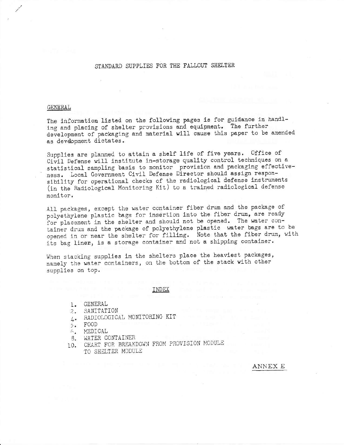# STANDARD SUPPLIES FOR THE FALLOUT SHELTER

#### GENERAL

The information listed on the following pages is for guidance in handling and placing of shelter provisions and equipment. The further development of packaging and material will cause this paper to be amended as development dictates.

Supplies are planned to attain a shelf life of five years. Office of Civil Defense will institute in-storage quality control techniques on a statistical sampling basis to monitor provision and packaging effectiveness. Local Government Civil Defense Director should assign responsibility for operational checks of the radiological defense instruments (in the Radiological Monitoring Kit) to a trained radiological defense monitor.

All packages, except the water container fiber drum and the package of polyethylene plastic bags for insertion into the fiber drum, are ready for placement in the shelter and should not be opened. The water container drum and the package of polyethylene plastic water bags are to be opened in or near the shelter for filling. Note that the fiber drum, with its bag liner, is a storage container and not a shipping container.

When stacking supplies in the shelters place the heaviest packages, namely the water containers, on the bottom of the stack with other supplies on top.

INDEX

- 1. GENERAL
- 2. SANITATION
- 4. RADIOLOGICAL MONITORING KIT
- 5. FOOD
- $\kappa_{\star}$ MEDICAL
- WATER CONTAINER 8.
- CHART FOR BREAKDOWN FROM PROVISION MODULE  $10.$ TO SHELTER MODULE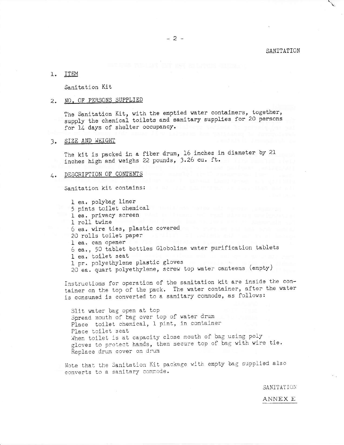SANITATION

#### l. ITEM

Sanitation Kit

#### NO. OF PERSONS SUPPLIED  $2.$

The Sanitation Kit, with the emptied water containers, together, supply the chemical toilets and sanitary supplies for 20 persons for 14 days of shelter occupancy.

## 3. SIZE AND WEIGHT

The kit is packed in a fiber drum, 16 inches in diameter by 21 inches high and weighs 22 pounds, 3.26 cu. ft.

#### DESCRIPTION OF CONTENTS  $4.4$

Sanitation kit contains:

1 ea. polybag liner 5 pints toilet chemical l ea. privacy screen 1 roll twine 6 ea. wire ties, plastic covered 20 rolls toilet paper and the contract of the contract of the contract of the contract of the contract of the l ea. can opener 6 ea., 50 tablet bottles Globoline water purification tablets l ea. toilet seat 1 pr. polyethylene plastic gloves 20 ea. quart polyethylene, screw top water canteens (empty)

Instructions for operation of the sanitation kit are inside the container on the top of the pack. The water container, after the water is consumed is converted to a sanitary commode, as follows:

Slit water bag open at top Spread mouth of bag over top of water drum Place toilet chemical, 1 pint, in container Place toilet seat When toilet is at capacity close mouth of bag using poly gloves to protect hands, then secure top of bag with wire tie. Replace drum cover on drum

Note that the Sanitation Kit package with empty bag supplied also converts to a sanitary commode.

SANITATION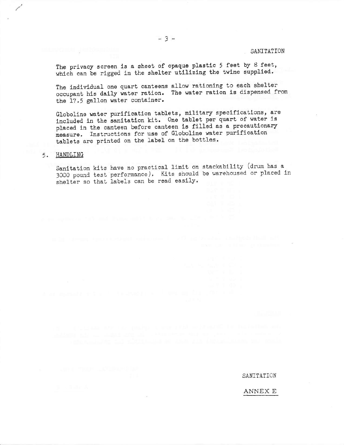SANITATION

The privacy screen is a sheet of opaque plastic 5 feet by 8 feet, which can be rigged in the shelter utilizing the twine supplied.

The individual one quart canteens allow rationing to each shelter occupant his daily water ration. The water ration is dispensed from the 17.5 gallon water container.

Globoline water purification tablets, military specifications, are included in the sanitation kit. One tablet per quart of water is placed in the canteen before canteen is filled as a precautionary measure. Instructions for use of Globoline water purification tablets are printed on the label on the bottles.

## 5. HANDLING

Sanitation kits have no practical limit on stackability (drum has a 3000 pound test performance). Kits should be warehoused or placed in shelter so that labels can be read easily.

SANITATION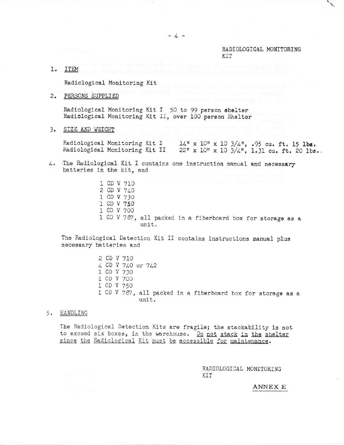### RADIOLOGICAL MONITORING **KTT**

1. ITEM

Radiological Monitoring Kit

 $2.$ PERSONS SUPPLIED

Radiological Monitoring Kit I 50 to 99 person shelter<br>Radiological Monitoring Kit II, over 100 person Shelter

3. SIZE AND WEIGHT

Radiological Monitoring Kit I  $14''$  x 10" x 10 3/4", .95 cu. ft. 15 lbs. Radiological Monitoring Kit II 22" x 10" x 10 3/4", 1.31 cu. ft. 20 lbs.

- 4. The Radiological Kit I contains one instruction manual and necessary batteries in the kit, and
	- 1 CD V 710 2 CD V 740 1 CD V 730 1 CD V 750 1 CD V 700 1 CD V 787, all packed in a fiberboard box for storage as a unit.

The Radiological Detection Kit II contains instructions manual plus necessary batteries and

- 2 CD V 710 4 CD V 740 or 742 1 CD V 730 1 CD V 700 1 CD V 750 1 CD V 787, all packed in a fiberboard box for storage as a unit.
- 5. HANDLING

The Radiological Detection Kits are fragile; the stackability is not to exceed six boxes, in the warehouse. Do not stack in the shelter since the Radiological Kit must be accessible for maintenance.

> RADIOLOGICAL MONITORING KIT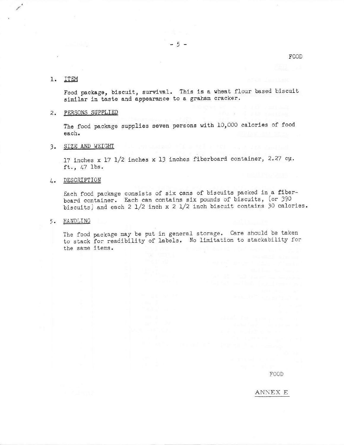#### $1.$ ITEM

Food package, biscuit, survival. This is a wheat flour based biscuit similar in taste and appearance to a graham cracker.

 $5<sup>5</sup>$ 

# 2. PERSONS SUPPLIED

The food package supplies seven persons with 10,000 calories of food each.

# 3. SIZE AND WEIGHT

17 inches x 17 1/2 inches x 13 inches fiberboard container, 2.27 cu. ft.,  $47$  lbs.

## 4. DESCRIPTION

Each food package consists of six cans of biscuits packed in a fiberboard container. Each can contains six pounds of biscuits, (or 390 biscuits) and each  $2 \frac{1}{2}$  inch  $x \frac{2 \frac{1}{2}}{2}$  inch biscuit contains 30 calories.

### 5. HANDLING

The food package may be put in general storage. Care should be taken to stack for readibility of labels. No limitation to stackability for the same items.

FOOD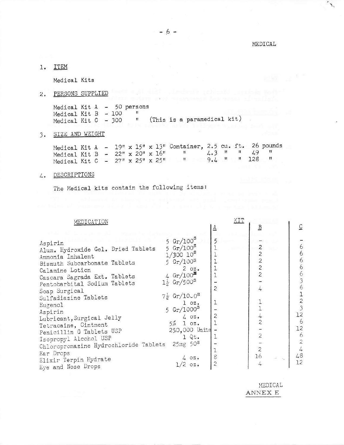MEDICAL

 $\mathcal{J}_{\mathcal{A}}$ 

1. ITEM

Medical Kits

2. PERSONS SUPPLIED

Medical Kit A - 50 persons<br>
Medical Kit B - 100 "<br>
Medical Kit C - 300 " (This is a paramedical kit)

# 3. SIZE AND WEIGHT

|                                          |  |  |  |  | Medical Kit A - $19'' \times 15'' \times 13''$ Container, 2.5 cu. ft. 26 pounds |  |  |                   |
|------------------------------------------|--|--|--|--|---------------------------------------------------------------------------------|--|--|-------------------|
|                                          |  |  |  |  | Medical Kit B - $22'' \times 20'' \times 16''$                                  |  |  | $4.3$ " " $4.9$ " |
| Medical Kit C - $27''$ x $25''$ x $25''$ |  |  |  |  |                                                                                 |  |  | $9.4$ " " 128 "   |

4. DESCRIPTIONS

The Medical kits contain the following items:

| MEDICATION |  |  |
|------------|--|--|

|                                                                                                                                                                                                                                                                                                                                                                                            | ₹                         | $\overline{B}$                                                                         | $\overline{C}$ |
|--------------------------------------------------------------------------------------------------------------------------------------------------------------------------------------------------------------------------------------------------------------------------------------------------------------------------------------------------------------------------------------------|---------------------------|----------------------------------------------------------------------------------------|----------------|
| $5 Gr/100^5$<br>Aspirin<br>$5 Gr/100^5$<br>Alum. Hydroxide Gel. Dried Tablets<br>$1/300 10^8$<br>Ammonia Inhalent<br>$5 Gr/100^5$<br>Bismuth Subcarbonate Tablets<br>Calamine Lotion<br>4 $Gr/100^3$<br>Cascara Sagrada Ext. Tablets<br>$1\frac{1}{2}$ Gr/500 <sup>S</sup><br>Pentobarbital Sodium Tablets<br>Soap Surgical<br>$7\frac{1}{2}$ Gr/10.0 <sup>5</sup><br>Sulfadiazine Tablets | $20z$ .<br>$\overline{c}$ | $\overline{\mathcal{Z}}$<br>$\overline{\mathbf{c}}$<br>$\frac{2}{2}$<br>$\overline{c}$ | 63636          |
| Eugenol                                                                                                                                                                                                                                                                                                                                                                                    | 1<br>$1 \, \circ z$ .     |                                                                                        | $\frac{1}{2}$  |
| 5 $Gr/1000^5$<br>Aspirin                                                                                                                                                                                                                                                                                                                                                                   |                           |                                                                                        | 12             |
| Lubricant, Surgical Jelly<br>$5\%$ 1 $0\%$ .<br>Tetracaine, Ointment                                                                                                                                                                                                                                                                                                                       | $\overline{c}$<br>402.    | $\overline{c}$                                                                         | 6              |
| Penicillin G Tablets USP                                                                                                                                                                                                                                                                                                                                                                   | 250,000 Units<br>$1$ Qt.  | $\overline{c}$                                                                         | 12<br>6        |
| Isopropyl Alcohol USP<br>$25mg$ 50 <sup>S</sup><br>Chloropromazine Hydrochloride Tablets                                                                                                                                                                                                                                                                                                   |                           |                                                                                        | $\overline{c}$ |
| Ear Drops                                                                                                                                                                                                                                                                                                                                                                                  | 8<br>4 oz.                | $\overline{c}$<br>16                                                                   | 48             |
| Elixir Terpin Hydrate<br>Eye and Nose Drops                                                                                                                                                                                                                                                                                                                                                | 2<br>202.                 |                                                                                        | 12             |

MEDICAL  $\texttt{ANNEX}$  E

 $\overline{\text{KIT}}$  , the set of  $\overline{\text{I}}$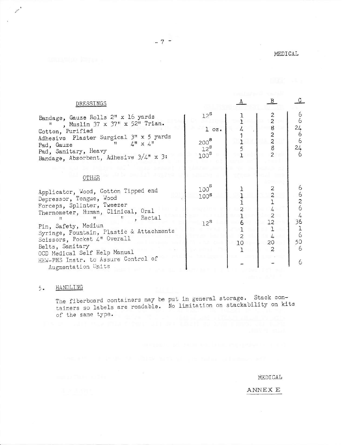| MEDICAL |  |  |
|---------|--|--|

 $\overline{a}$ 

 $\omega$ 

| DRESSINGS                                                                                                                                                                                                                                                                                                                                                               |    |                                          |                              |
|-------------------------------------------------------------------------------------------------------------------------------------------------------------------------------------------------------------------------------------------------------------------------------------------------------------------------------------------------------------------------|----|------------------------------------------|------------------------------|
| $12^5$<br>Bandage, Gauze Rolls 2" x 16 yards<br>, Muslin 37 x 37" x 52" Trian.<br>$1$ $0z$ .<br>Cotton, Purified<br>Adhesive Plaster Surgical 3" x 5 yards<br>$200^8$<br>$\mathcal{L}^{\mathfrak{n}} \times \mathcal{L}^{\mathfrak{n}}$<br>$^{\dagger}$<br>Pad, Gauze<br>$12^{\texttt{S}}$<br>Pad, Sanitary, Heavy<br>$100^5$<br>Bandage, Absorbent, Adhesive 3/4" x 3: |    | 2<br>8<br>$\frac{2}{2}$<br>$\frac{8}{2}$ | 6<br>24<br>6<br>6<br>24<br>6 |
| OTHER                                                                                                                                                                                                                                                                                                                                                                   |    |                                          |                              |
| 100 <sup>s</sup><br>Applicator, Wood, Cotton Tipped end<br>100 <sup>s</sup><br>Depressor, Tongue, Wood                                                                                                                                                                                                                                                                  |    | 2                                        | 6<br>6<br>2                  |
| Forceps, Splinter, Tweezer<br>Thermometer, Human, Clinical, Oral                                                                                                                                                                                                                                                                                                        |    |                                          | 6                            |
| Rectal<br>$12^{\text{S}}$<br>Pin, Safety, Medium<br>Syringe, Fountain, Plastic & Attachments<br>Scissors, Pocket 4" Overall<br>Belts, Sanitary<br>OCD Medical Self Help Manual                                                                                                                                                                                          | 10 | 12<br>20                                 | 36<br>6<br>50<br>6           |
| HEW-PHS Instr. to Assure Control of<br>Augmentation Units                                                                                                                                                                                                                                                                                                               |    |                                          | 6                            |

#### 5. HANDLING

Allen B

The fiberboard containers may be put in general storage. Stack con-<br>tainers so labels are readable. No limitation on stackability on kits of the same type.

 $\sim 48$ 

MEDICAL

 $\texttt{AMNEX}$  E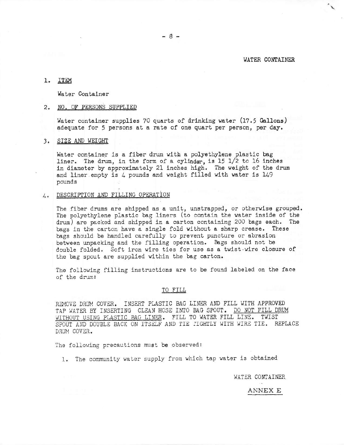### WATER CONTAINER

### 1. ITEM

Water Container

### 2. NO. OF PERSONS SUPPLIED

Water container supplies 70 quarts of drinking water (17.5 Gallons) adequate for 5 persons at a rate of one quart per person, per day.

### 3. SIZE AND WEIGHT

Water container is a fiber drum with a polyethylene plastic bag liner. The drum, in the form of a cylinder, is 15 1/2 to 16 inches in diameter by approximately 21 inches high. The weight of the drum and liner empty is 4 pounds and weight filled with water is 149 pounds

## 4. DESCRIPTION AND FILLING OPERATION

The fiber drums are shipped as a unit, unstrapped, or otherwise grouped. The polyethylene plastic bag liners (to contain the water inside of the drum) are packed and shipped in a carton containing 200 bags each. The bags in the carton have a single fold without a sharp crease. These bags should be handled carefully to prevent puncture or abrasion between unpacking and the filling operation. Bags should not be double folded. Soft iron wire ties for use as a twist-wire closure of the bag spout are supplied within the bag carton.

The following filling instructions are to be found labeled on the face of the drum:

#### TO FILL

REMOVE DRUM COVER. INSERT PLASTIC BAG LINER AND FILL WITH APPROVED TAP WATER BY INSERTING CLEAN HOSE INTO BAG SPOUT. DO NOT FILL DRUM WITHOUT USING PLASTIC BAG LINER. FILL TO WATER FILL LINE. TWIST SPOUT AND DOUBLE BACK ON ITSELF AND TIE FIGHTLY WITH WIRE TIE. REPLACE DRUM COVER.

The following precautions must be observed:

1. The community water supply from which tap water is obtained

WATER CONTAINER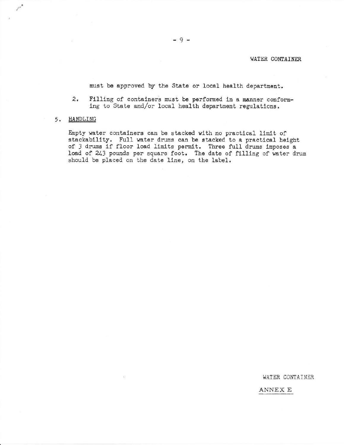## WATER CONTAINER

must be approved by the State or local health department.

 $2<sub>o</sub>$ Filling of containers must be performed in a manner conforming to State and/or local health department regulations.

### 5. HANDLING

Empty water containers can be stacked with no practical limit of stackability. Full water drums can be stacked to a practical height of 3 drums if floor load limits permit. Three full drums imposes a load of 243 pounds per square foot. The date of filling of water drum should be placed on the date line, on the label.

WATER CONTAINER